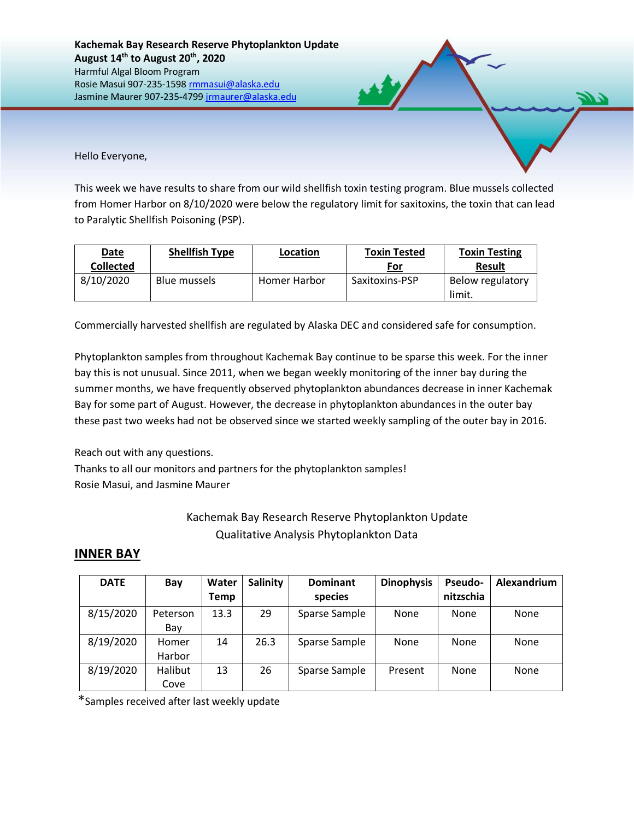Hello Everyone,

This week we have results to share from our wild shellfish toxin testing program. Blue mussels collected from Homer Harbor on 8/10/2020 were below the regulatory limit for saxitoxins, the toxin that can lead to Paralytic Shellfish Poisoning (PSP).

| <b>Date</b>      | <b>Shellfish Type</b> | Location     | <b>Toxin Tested</b> | <b>Toxin Testing</b>       |
|------------------|-----------------------|--------------|---------------------|----------------------------|
| <b>Collected</b> |                       |              | For                 | <b>Result</b>              |
| 8/10/2020        | Blue mussels          | Homer Harbor | Saxitoxins-PSP      | Below regulatory<br>limit. |

Commercially harvested shellfish are regulated by Alaska DEC and considered safe for consumption.

Phytoplankton samples from throughout Kachemak Bay continue to be sparse this week. For the inner bay this is not unusual. Since 2011, when we began weekly monitoring of the inner bay during the summer months, we have frequently observed phytoplankton abundances decrease in inner Kachemak Bay for some part of August. However, the decrease in phytoplankton abundances in the outer bay these past two weeks had not be observed since we started weekly sampling of the outer bay in 2016.

Reach out with any questions.

Thanks to all our monitors and partners for the phytoplankton samples! Rosie Masui, and Jasmine Maurer

## Kachemak Bay Research Reserve Phytoplankton Update Qualitative Analysis Phytoplankton Data

## **INNER BAY**

| <b>DATE</b> | Bay             | Water<br>Temp | Salinity | <b>Dominant</b><br>species | <b>Dinophysis</b> | Pseudo-<br>nitzschia | Alexandrium |
|-------------|-----------------|---------------|----------|----------------------------|-------------------|----------------------|-------------|
| 8/15/2020   | Peterson<br>Bay | 13.3          | 29       | Sparse Sample              | None              | <b>None</b>          | None        |
| 8/19/2020   | Homer<br>Harbor | 14            | 26.3     | Sparse Sample              | None              | <b>None</b>          | None        |
| 8/19/2020   | Halibut<br>Cove | 13            | 26       | Sparse Sample              | Present           | <b>None</b>          | None        |

\*Samples received after last weekly update